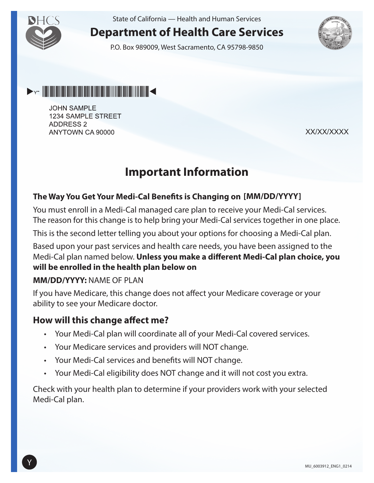

State of California — Health and Human Services

## **Department of Health Care Services**

P.O. Box 989009, West Sacramento, CA 95798-9850





**JOHN SAMPLE** 1234 SAMPLE STREET **ADDRESS 2** ANYTOWN CA 90000

XX/XX/XXXX

# **Important Information**

#### **The Way You Get Your Medi-Cal Benefits is Changing on [MM/DD/YYYY]**

You must enroll in a Medi-Cal managed care plan to receive your Medi-Cal services. The reason for this change is to help bring your Medi-Cal services together in one place.

This is the second letter telling you about your options for choosing a Medi-Cal plan.

Based upon your past services and health care needs, you have been assigned to the Medi-Cal plan named below. **Unless you make a different Medi-Cal plan choice, you will be enrolled in the health plan below on** 

#### **MM/DD/YYYY:** NAME OF PLAN

If you have Medicare, this change does not affect your Medicare coverage or your ability to see your Medicare doctor.

#### **How will this change affect me?**

- Your Medi-Cal plan will coordinate all of your Medi-Cal covered services.
- Your Medicare services and providers will NOT change.
- Your Medi-Cal services and benefits will NOT change.
- Your Medi-Cal eligibility does NOT change and it will not cost you extra.

Check with your health plan to determine if your providers work with your selected Medi-Cal plan.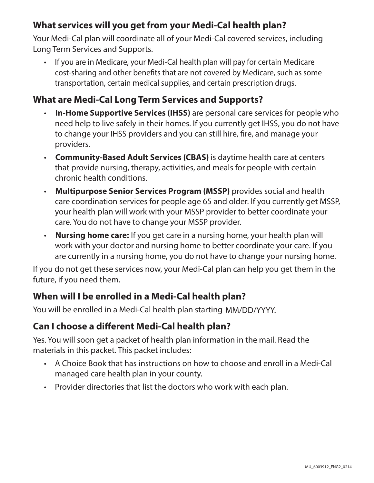## **What services will you get from your Medi-Cal health plan?**

Your Medi-Cal plan will coordinate all of your Medi-Cal covered services, including Long Term Services and Supports.

• If you are in Medicare, your Medi-Cal health plan will pay for certain Medicare cost-sharing and other benefits that are not covered by Medicare, such as some transportation, certain medical supplies, and certain prescription drugs.

## **What are Medi-Cal Long Term Services and Supports?**

- **In-Home Supportive Services (IHSS)** are personal care services for people who need help to live safely in their homes. If you currently get IHSS, you do not have to change your IHSS providers and you can still hire, fire, and manage your providers.
- **Community-Based Adult Services (CBAS)** is daytime health care at centers that provide nursing, therapy, activities, and meals for people with certain chronic health conditions.
- **Multipurpose Senior Services Program (MSSP)** provides social and health care coordination services for people age 65 and older. If you currently get MSSP, your health plan will work with your MSSP provider to better coordinate your care. You do not have to change your MSSP provider.
- **Nursing home care:** If you get care in a nursing home, your health plan will work with your doctor and nursing home to better coordinate your care. If you are currently in a nursing home, you do not have to change your nursing home.

If you do not get these services now, your Medi-Cal plan can help you get them in the future, if you need them.

#### **When will I be enrolled in a Medi-Cal health plan?**

You will be enrolled in a Medi-Cal health plan starting MM/DD/YYYY.

#### **Can I choose a different Medi-Cal health plan?**

Yes. You will soon get a packet of health plan information in the mail. Read the materials in this packet. This packet includes:

- A Choice Book that has instructions on how to choose and enroll in a Medi-Cal managed care health plan in your county.
- Provider directories that list the doctors who work with each plan.